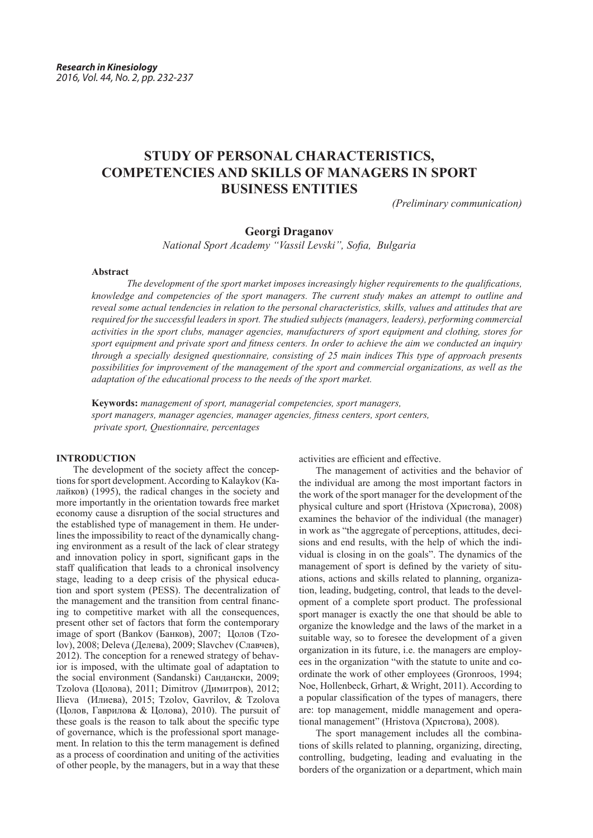# **STUDY OF PERSONAL CHARACTERISTICS, COMPETENCIES AND SKILLS OF MANAGERS IN SPORT BUSINESS ENTITIES**

*(Preliminary communication)*

# **Georgi Draganov**

*National Sport Academy "Vassil Levski", Sofia, Bulgaria*

# **Abstract**

*The development of the sport market imposes increasingly higher requirements to the qualifications, knowledge and competencies of the sport managers. The current study makes an attempt to outline and reveal some actual tendencies in relation to the personal characteristics, skills, values and attitudes that are required for the successful leaders in sport. The studied subjects (managers, leaders), performing commercial activities in the sport clubs, manager agencies, manufacturers of sport equipment and clothing, stores for sport equipment and private sport and fitness centers. In order to achieve the aim we conducted an inquiry through a specially designed questionnaire, consisting of 25 main indices This type of approach presents possibilities for improvement of the management of the sport and commercial organizations, as well as the adaptation of the educational process to the needs of the sport market.*

**Keywords:** *management of sport, managerial competencies, sport managers, sport managers, manager agencies, manager agencies, fitness centers, sport centers, private sport, Questionnaire, percentages*

## **INTRODUCTION**

The development of the society affect the conceptions for sport development. According to Kalaykov (Калайков) (1995), the radical changes in the society and more importantly in the orientation towards free market economy cause a disruption of the social structures and the established type of management in them. He underlines the impossibility to react of the dynamically changing environment as a result of the lack of clear strategy and innovation policy in sport, significant gaps in the staff qualification that leads to a chronical insolvency stage, leading to a deep crisis of the physical education and sport system (PESS). The decentralization of the management and the transition from central financing to competitive market with all the consequences, present other set of factors that form the contemporary image of sport (Bankov (Банков), 2007; Цолов (Tzolov), 2008; Deleva (Делева), 2009; Slavchev (Славчев), 2012). The conception for a renewed strategy of behavior is imposed, with the ultimate goal of adaptation to the social environment (Sandanski) Сандански, 2009; Tzolova (Цолова), 2011; Dimitrov (Димитров), 2012; Ilieva (Илиева), 2015; Tzolov, Gavrilov, & Tzolova (Цолов, Гаврилова & Цолова), 2010). The pursuit of these goals is the reason to talk about the specific type of governance, which is the professional sport management. In relation to this the term management is defined as a process of coordination and uniting of the activities of other people, by the managers, but in a way that these

activities are efficient and effective.

The management of activities and the behavior of the individual are among the most important factors in the work of the sport manager for the development of the physical culture and sport (Hristova (Христова), 2008) examines the behavior of the individual (the manager) in work as "the aggregate of perceptions, attitudes, decisions and end results, with the help of which the individual is closing in on the goals". The dynamics of the management of sport is defined by the variety of situations, actions and skills related to planning, organization, leading, budgeting, control, that leads to the development of a complete sport product. The professional sport manager is exactly the one that should be able to organize the knowledge and the laws of the market in a suitable way, so to foresee the development of a given organization in its future, i.e. the managers are employees in the organization "with the statute to unite and coordinate the work of other employees (Gronroos, 1994; Noe, Hollenbeck, Grhart, & Wright, 2011). According to a popular classification of the types of managers, there are: top management, middle management and operational management" (Hristova (Христова), 2008).

The sport management includes all the combinations of skills related to planning, organizing, directing, controlling, budgeting, leading and evaluating in the borders of the organization or a department, which main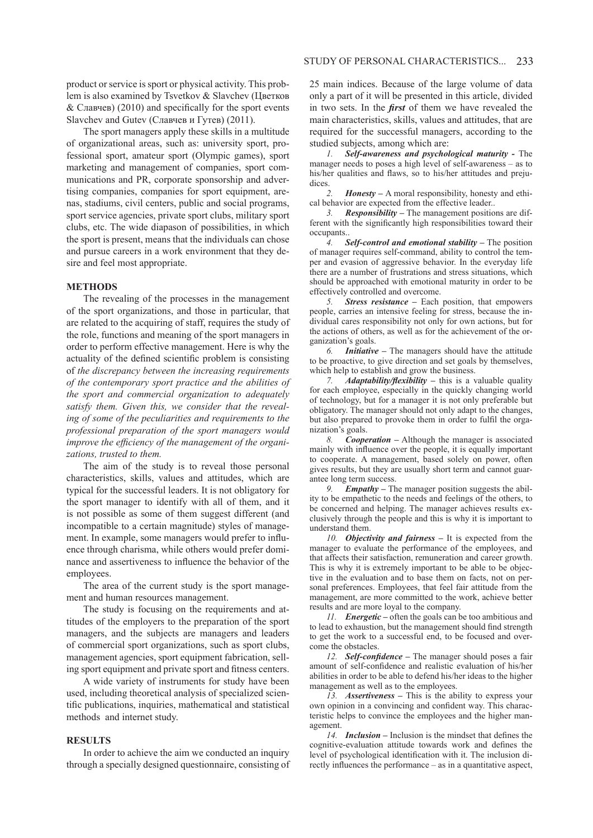product or service is sport or physical activity. This problem is also examined by Tsvetkov & Slavchev (Цветков & Славчев) (2010) and specifically for the sport events Slavchev and Gutev (Славчев и Гутев) (2011).

The sport managers apply these skills in a multitude of organizational areas, such as: university sport, professional sport, amateur sport (Olympic games), sport marketing and management of companies, sport communications and PR, corporate sponsorship and advertising companies, companies for sport equipment, arenas, stadiums, civil centers, public and social programs, sport service agencies, private sport clubs, military sport clubs, etc. The wide diapason of possibilities, in which the sport is present, means that the individuals can chose and pursue careers in a work environment that they desire and feel most appropriate.

#### **METHODS**

The revealing of the processes in the management of the sport organizations, and those in particular, that are related to the acquiring of staff, requires the study of the role, functions and meaning of the sport managers in order to perform effective management. Here is why the actuality of the defined scientific problem is consisting of *the discrepancy between the increasing requirements of the contemporary sport practice and the abilities of the sport and commercial organization to adequately satisfy them. Given this, we consider that the revealing of some of the peculiarities and requirements to the professional preparation of the sport managers would improve the efficiency of the management of the organizations, trusted to them.*

The aim of the study is to reveal those personal characteristics, skills, values and attitudes, which are typical for the successful leaders. It is not obligatory for the sport manager to identify with all of them, and it is not possible as some of them suggest different (and incompatible to a certain magnitude) styles of management. In example, some managers would prefer to influence through charisma, while others would prefer dominance and assertiveness to influence the behavior of the employees.

The area of the current study is the sport management and human resources management.

The study is focusing on the requirements and attitudes of the employers to the preparation of the sport managers, and the subjects are managers and leaders of commercial sport organizations, such as sport clubs, management agencies, sport equipment fabrication, selling sport equipment and private sport and fitness centers.

A wide variety of instruments for study have been used, including theoretical analysis of specialized scientific publications, inquiries, mathematical and statistical methods and internet study.

# **RESULTS**

In order to achieve the aim we conducted an inquiry through a specially designed questionnaire, consisting of 25 main indices. Because of the large volume of data only a part of it will be presented in this article, divided in two sets. In the *first* of them we have revealed the main characteristics, skills, values and attitudes, that are required for the successful managers, according to the studied subjects, among which are:

*1. Self-awareness and psychological maturity -* The manager needs to poses a high level of self-awareness – as to his/her qualities and flaws, so to his/her attitudes and prejudices.

*2. Honesty* **–** A moral responsibility, honesty and ethical behavior are expected from the effective leader..

*3. Responsibility –* The management positions are different with the significantly high responsibilities toward their occupants..

*4. Self-control and emotional stability* **–** The position of manager requires self-command, ability to control the temper and evasion of aggressive behavior. In the everyday life there are a number of frustrations and stress situations, which should be approached with emotional maturity in order to be effectively controlled and overcome.

*5. Stress resistance –* Each position, that empowers people, carries an intensive feeling for stress, because the individual cares responsibility not only for own actions, but for the actions of others, as well as for the achievement of the organization's goals.

*6. Initiative –* The managers should have the attitude to be proactive, to give direction and set goals by themselves, which help to establish and grow the business.

*7. Adaptability/flexibility* **–** this is a valuable quality for each employee, especially in the quickly changing world of technology, but for a manager it is not only preferable but obligatory. The manager should not only adapt to the changes, but also prepared to provoke them in order to fulfil the organization's goals.

*8. Cooperation –* Although the manager is associated mainly with influence over the people, it is equally important to cooperate. A management, based solely on power, often gives results, but they are usually short term and cannot guarantee long term success.

*Empathy* – The manager position suggests the ability to be empathetic to the needs and feelings of the others, to be concerned and helping. The manager achieves results exclusively through the people and this is why it is important to understand them.

*10. Objectivity and fairness* **–** It is expected from the manager to evaluate the performance of the employees, and that affects their satisfaction, remuneration and career growth. This is why it is extremely important to be able to be objective in the evaluation and to base them on facts, not on personal preferences. Employees, that feel fair attitude from the management, are more committed to the work, achieve better results and are more loyal to the company.

*11. Energetic –* often the goals can be too ambitious and to lead to exhaustion, but the management should find strength to get the work to a successful end, to be focused and overcome the obstacles.

*12. Self-confidence* **–** The manager should poses a fair amount of self-confidence and realistic evaluation of his/her abilities in order to be able to defend his/her ideas to the higher management as well as to the employees.

*13. Assertiveness* **–** This is the ability to express your own opinion in a convincing and confident way. This characteristic helps to convince the employees and the higher management.

*14. Inclusion* **–** Inclusion is the mindset that defines the cognitive-evaluation attitude towards work and defines the level of psychological identification with it. The inclusion directly influences the performance – as in a quantitative aspect,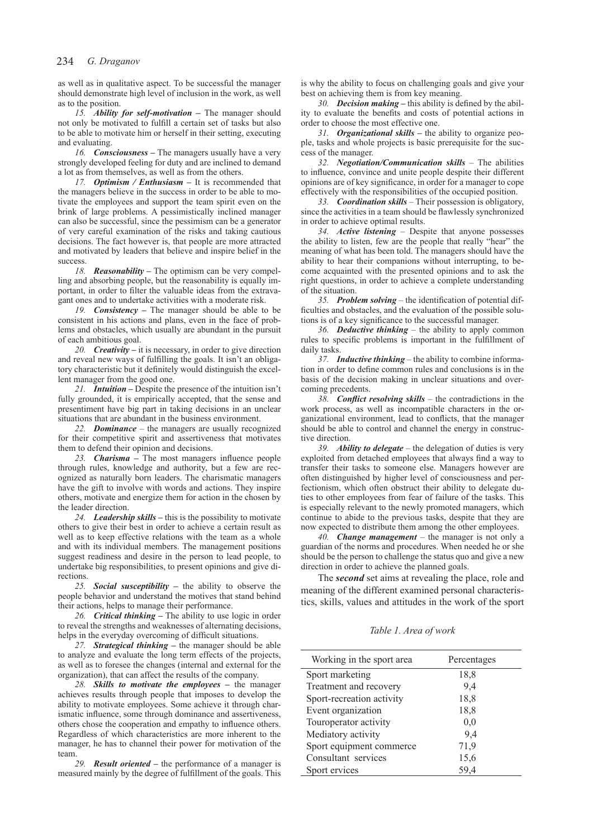as well as in qualitative aspect. To be successful the manager should demonstrate high level of inclusion in the work, as well as to the position.

*15. Ability for self-motivation* **–** The manager should not only be motivated to fulfill a certain set of tasks but also to be able to motivate him or herself in their setting, executing and evaluating.

*16. Consciousness* **–** The managers usually have a very strongly developed feeling for duty and are inclined to demand a lot as from themselves, as well as from the others.

*17. Optimism / Enthusiasm* **–** It is recommended that the managers believe in the success in order to be able to motivate the employees and support the team spirit even on the brink of large problems. A pessimistically inclined manager can also be successful, since the pessimism can be a generator of very careful examination of the risks and taking cautious decisions. The fact however is, that people are more attracted and motivated by leaders that believe and inspire belief in the success.

*18. Reasonability* **–** The optimism can be very compelling and absorbing people, but the reasonability is equally important, in order to filter the valuable ideas from the extravagant ones and to undertake activities with a moderate risk.

*19. Consistency* **–** The manager should be able to be consistent in his actions and plans, even in the face of problems and obstacles, which usually are abundant in the pursuit of each ambitious goal.

*20. Creativity* **–** it is necessary, in order to give direction and reveal new ways of fulfilling the goals. It isn't an obligatory characteristic but it definitely would distinguish the excellent manager from the good one.

*21. Intuition* **–** Despite the presence of the intuition isn't fully grounded, it is empirically accepted, that the sense and presentiment have big part in taking decisions in an unclear situations that are abundant in the business environment.

*22. Dominance –* the managers are usually recognized for their competitive spirit and assertiveness that motivates them to defend their opinion and decisions.

*23. Charisma* **–** The most managers influence people through rules, knowledge and authority, but a few are recognized as naturally born leaders. The charismatic managers have the gift to involve with words and actions. They inspire others, motivate and energize them for action in the chosen by the leader direction.

*24. Leadership skills* **–** this is the possibility to motivate others to give their best in order to achieve a certain result as well as to keep effective relations with the team as a whole and with its individual members. The management positions suggest readiness and desire in the person to lead people, to undertake big responsibilities, to present opinions and give directions.

*25. Social susceptibility* **–** the ability to observe the people behavior and understand the motives that stand behind their actions, helps to manage their performance.

*26. Critical thinking* **–** The ability to use logic in order to reveal the strengths and weaknesses of alternating decisions, helps in the everyday overcoming of difficult situations.

*27. Strategical thinking* **–** the manager should be able to analyze and evaluate the long term effects of the projects, as well as to foresee the changes (internal and external for the organization), that can affect the results of the company.

*28. Skills to motivate the employees* **–** the manager achieves results through people that imposes to develop the ability to motivate employees. Some achieve it through charismatic influence, some through dominance and assertiveness, others chose the cooperation and empathy to influence others. Regardless of which characteristics are more inherent to the manager, he has to channel their power for motivation of the team.

*29. Result oriented* **–** the performance of a manager is measured mainly by the degree of fulfillment of the goals. This is why the ability to focus on challenging goals and give your best on achieving them is from key meaning.

*30. Decision making* **–** this ability is defined by the ability to evaluate the benefits and costs of potential actions in order to choose the most effective one.

*31. Organizational skills* **–** the ability to organize people, tasks and whole projects is basic prerequisite for the success of the manager.

*32. Negotiation/Communication skills* – The abilities to influence, convince and unite people despite their different opinions are of key significance, in order for a manager to cope effectively with the responsibilities of the occupied position.

*33. Coordination skills* – Their possession is obligatory, since the activities in a team should be flawlessly synchronized in order to achieve optimal results.

*34. Active listening* – Despite that anyone possesses the ability to listen, few are the people that really "hear" the meaning of what has been told. The managers should have the ability to hear their companions without interrupting, to become acquainted with the presented opinions and to ask the right questions, in order to achieve a complete understanding of the situation.

*35. Problem solving* – the identification of potential difficulties and obstacles, and the evaluation of the possible solutions is of a key significance to the successful manager.

*36. Deductive thinking* – the ability to apply common rules to specific problems is important in the fulfillment of daily tasks.

*37. Inductive thinking* – the ability to combine information in order to define common rules and conclusions is in the basis of the decision making in unclear situations and overcoming precedents.

*38. Conflict resolving skills* – the contradictions in the work process, as well as incompatible characters in the organizational environment, lead to conflicts, that the manager should be able to control and channel the energy in constructive direction.

*39. Ability to delegate* – the delegation of duties is very exploited from detached employees that always find a way to transfer their tasks to someone else. Managers however are often distinguished by higher level of consciousness and perfectionism, which often obstruct their ability to delegate duties to other employees from fear of failure of the tasks. This is especially relevant to the newly promoted managers, which continue to abide to the previous tasks, despite that they are now expected to distribute them among the other employees.

*40. Change management* – the manager is not only a guardian of the norms and procedures. When needed he or she should be the person to challenge the status quo and give a new direction in order to achieve the planned goals.

The *second* set aims at revealing the place, role and meaning of the different examined personal characteristics, skills, values and attitudes in the work of the sport

#### *Table 1. Area of work*

| Working in the sport area | Percentages |
|---------------------------|-------------|
| Sport marketing           | 18,8        |
| Treatment and recovery    | 9,4         |
| Sport-recreation activity | 18,8        |
| Event organization        | 18,8        |
| Touroperator activity     | 0,0         |
| Mediatory activity        | 9,4         |
| Sport equipment commerce  | 71,9        |
| Consultant services       | 15,6        |
| Sport ervices             | 59,4        |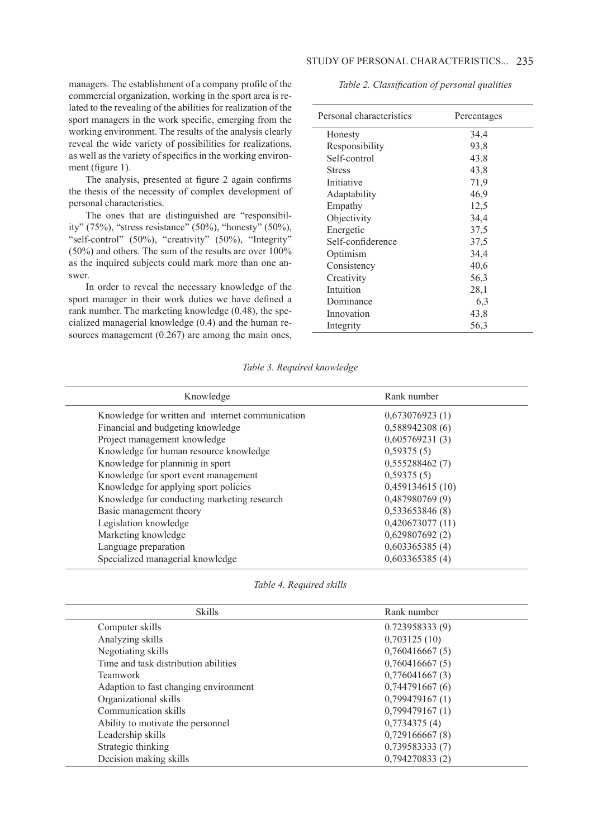## STUDY OF PERSONAL CHARACTERISTICS... 235

managers. The establishment of a company profile of the commercial organization, working in the sport area is related to the revealing of the abilities for realization of the sport managers in the work specific, emerging from the working environment. The results of the analysis clearly reveal the wide variety of possibilities for realizations, as well as the variety of specifics in the working environment (figure 1).

The analysis, presented at figure 2 again confirms the thesis of the necessity of complex development of personal characteristics.

The ones that are distinguished are "responsibility" (75%), "stress resistance" (50%), "honesty" (50%), "self-control" (50%), "creativity" (50%), "Integrity" (50%) and others. The sum of the results are over 100% as the inquired subjects could mark more than one answer.

In order to reveal the necessary knowledge of the sport manager in their work duties we have defined a rank number. The marketing knowledge (0.48), the specialized managerial knowledge (0.4) and the human resources management (0.267) are among the main ones,  *Table 2. Classification of personal qualities*

| Personal characteristics | Percentages |
|--------------------------|-------------|
| Honesty                  | 34.4        |
| Responsibility           | 93,8        |
| Self-control             | 43.8        |
| <b>Stress</b>            | 43,8        |
| Initiative               | 71,9        |
| Adaptability             | 46,9        |
| Empathy                  | 12,5        |
| Objectivity              | 34,4        |
| Energetic                | 37.5        |
| Self-confiderence        | 37.5        |
| Optimism                 | 34,4        |
| Consistency              | 40,6        |
| Creativity               | 56,3        |
| Intuition                | 28,1        |
| Dominance                | 6.3         |
| Innovation               | 43,8        |
| Integrity                | 56,3        |

### *Table 3. Required knowledge*

| Knowledge                                        | Rank number     |
|--------------------------------------------------|-----------------|
| Knowledge for written and internet communication | 0,673076923(1)  |
| Financial and budgeting knowledge                | 0,588942308(6)  |
| Project management knowledge                     | 0,605769231(3)  |
| Knowledge for human resource knowledge           | 0,59375(5)      |
| Knowledge for planninig in sport                 | 0,555288462(7)  |
| Knowledge for sport event management             | 0,59375(5)      |
| Knowledge for applying sport policies            | 0,459134615(10) |
| Knowledge for conducting marketing research      | 0,487980769 (9) |
| Basic management theory                          | 0,533653846(8)  |
| Legislation knowledge                            | 0,420673077(11) |
| Marketing knowledge                              | 0,629807692(2)  |
| Language preparation                             | 0,603365385(4)  |
| Specialized managerial knowledge                 | 0,603365385(4)  |

*Table 4. Required skills*

| <b>Skills</b>                         | Rank number     |
|---------------------------------------|-----------------|
| Computer skills                       | 0.723958333(9)  |
| Analyzing skills                      | 0,703125(10)    |
| Negotiating skills                    | 0,760416667(5)  |
| Time and task distribution abilities  | 0,760416667(5)  |
| <b>Teamwork</b>                       | 0,776041667(3)  |
| Adaption to fast changing environment | 0,744791667(6)  |
| Organizational skills                 | 0,799479167(1)  |
| Communication skills                  | 0,799479167(1)  |
| Ability to motivate the personnel     | 0,7734375(4)    |
| Leadership skills                     | 0,729166667(8)  |
| Strategic thinking                    | 0,739583333 (7) |
| Decision making skills                | 0,794270833(2)  |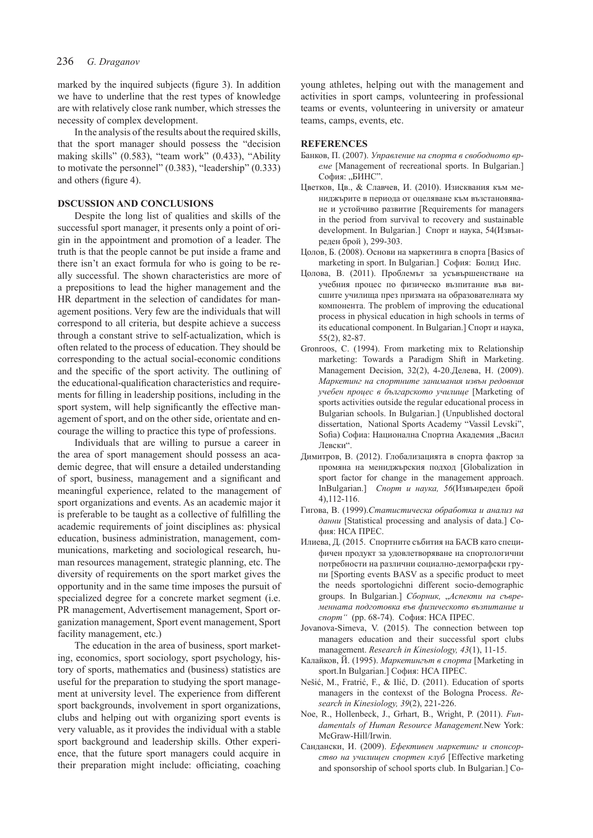marked by the inquired subjects (figure 3). In addition we have to underline that the rest types of knowledge are with relatively close rank number, which stresses the necessity of complex development.

In the analysis of the results about the required skills, that the sport manager should possess the "decision making skills" (0.583), "team work" (0.433), "Ability to motivate the personnel" (0.383), "leadership" (0.333) and others (figure 4).

## **DSCUSSION AND CONCLUSIONS**

Despite the long list of qualities and skills of the successful sport manager, it presents only a point of origin in the appointment and promotion of a leader. The truth is that the people cannot be put inside a frame and there isn't an exact formula for who is going to be really successful. The shown characteristics are more of a prepositions to lead the higher management and the HR department in the selection of candidates for management positions. Very few are the individuals that will correspond to all criteria, but despite achieve a success through a constant strive to self-actualization, which is often related to the process of education. They should be corresponding to the actual social-economic conditions and the specific of the sport activity. The outlining of the educational-qualification characteristics and requirements for filling in leadership positions, including in the sport system, will help significantly the effective management of sport, and on the other side, orientate and encourage the willing to practice this type of professions.

Individuals that are willing to pursue a career in the area of sport management should possess an academic degree, that will ensure a detailed understanding of sport, business, management and a significant and meaningful experience, related to the management of sport organizations and events. As an academic major it is preferable to be taught as a collective of fulfilling the academic requirements of joint disciplines as: physical education, business administration, management, communications, marketing and sociological research, human resources management, strategic planning, etc. The diversity of requirements on the sport market gives the opportunity and in the same time imposes the pursuit of specialized degree for a concrete market segment (i.e. PR management, Advertisement management, Sport organization management, Sport event management, Sport facility management, etc.)

The education in the area of business, sport marketing, economics, sport sociology, sport psychology, history of sports, mathematics and (business) statistics are useful for the preparation to studying the sport management at university level. The experience from different sport backgrounds, involvement in sport organizations, clubs and helping out with organizing sport events is very valuable, as it provides the individual with a stable sport background and leadership skills. Other experience, that the future sport managers could acquire in their preparation might include: officiating, coaching

young athletes, helping out with the management and activities in sport camps, volunteering in professional teams or events, volunteering in university or amateur teams, camps, events, etc.

#### **REFERENCES**

- Банков, П. (2007). *Управление на спорта в свободното време* [Management of recreational sports. In Bulgarian.] София: "БИНС".
- Цветков, Цв., & Славчев, И. (2010). Изисквания към мениджърите в периода от оцеляване към възстановяване и устойчиво развитие [Requirements for managers in the period from survival to recovery and sustainable development. In Bulgarian.] Спорт и наука, 54(Извънреден брой ), 299-303.
- Цолов, Б. (2008). Основи на маркетинга в спорта [Basics of marketing in sport. In Bulgarian.] София: Болид Инс.
- Цолова, В. (2011). Проблемът за усъвършенстване на учебния процес по физическо възпитание във висшите училища през призмата на образователната му компонента. The problem of improving the educational process in physical education in high schools in terms of its educational component. In Bulgarian.] Спорт и наука, 55(2), 82-87.
- Gronroos, C. (1994). From marketing mix to Relationship marketing: Towards a Paradigm Shift in Marketing. Management Decision, 32(2), 4-20.Делева, Н. (2009). *Маркетинг на спортните занимания извън редовния учебен процес в българското училище* [Marketing of sports activities outside the regular educational process in Bulgarian schools. In Bulgarian.] (Unpublished doctoral dissertation, National Sports Academy "Vassil Levski", Sofia) Софиа: Национална Спортна Академия "Васил Левски".
- Димитров, В. (2012). Глобализацията в спорта фактор за промяна на мениджърския подход [Globalization in sport factor for change in the management approach. InBulgarian.] *Спорт и наука, 56*(Извънреден брой 4),112-116.
- Гигова, В. (1999).*Статистическа обработка и анализ на данни* [Statistical processing and analysis of data.] София: НСА ПРЕС.
- Илиева, Д. (2015. Спортните събития на БАСВ като специфичен продукт за удовлетворяване на спортологични потребности на различни социално-демографски групи [Sporting events BASV as a specific product to meet the needs sportologichni different socio-demographic groups. In Bulgarian.] *Сборник,* "*Аспекти на съвременната подготовка във физическото възпитание и спорт"* (pp. 68-74). София: НСА ПРЕС.
- Jovanova-Simeva, V. (2015). The connection between top managers education and their successful sport clubs management. *Research in Kinesiology, 43*(1), 11-15.
- Калайков, Й. (1995). *Маркетингът в спорта* [Marketing in sport.In Bulgarian.] София: НСА ПРЕС.
- Nešić, M., Fratrić, F., & Ilić, D. (2011). Education of sports managers in the contexst of the Bologna Process. *Research in Kinesiology, 39*(2), 221-226.
- Noe, R., Hollenbeck, J., Grhart, B., Wright, P. (2011). *Fundamentals of Human Resource Management.*New York: McGraw-Hill/Irwin.
- Сандански, И. (2009). *Ефективен маркетинг и спонсорство на училищен спортен клуб* [Effective marketing and sponsorship of school sports club. In Bulgarian.] Со-